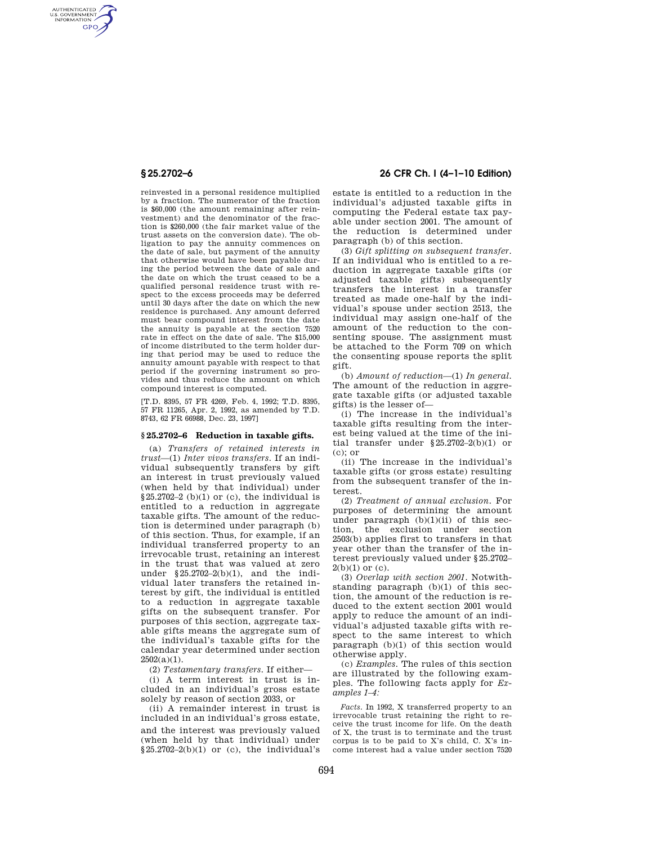AUTHENTICATED<br>U.S. GOVERNMENT<br>INFORMATION **GPO** 

> reinvested in a personal residence multiplied by a fraction. The numerator of the fraction is \$60,000 (the amount remaining after reinvestment) and the denominator of the fraction is \$260,000 (the fair market value of the trust assets on the conversion date). The obligation to pay the annuity commences on the date of sale, but payment of the annuity that otherwise would have been payable during the period between the date of sale and the date on which the trust ceased to be a qualified personal residence trust with respect to the excess proceeds may be deferred until 30 days after the date on which the new residence is purchased. Any amount deferred must bear compound interest from the date the annuity is payable at the section 7520 rate in effect on the date of sale. The \$15,000 of income distributed to the term holder during that period may be used to reduce the annuity amount payable with respect to that period if the governing instrument so provides and thus reduce the amount on which compound interest is computed.

[T.D. 8395, 57 FR 4269, Feb. 4, 1992; T.D. 8395, 57 FR 11265, Apr. 2, 1992, as amended by T.D. 8743, 62 FR 66988, Dec. 23, 1997]

## **§ 25.2702–6 Reduction in taxable gifts.**

(a) *Transfers of retained interests in trust*—(1) *Inter vivos transfers.* If an individual subsequently transfers by gift an interest in trust previously valued (when held by that individual) under §25.2702–2 (b)(1) or (c), the individual is entitled to a reduction in aggregate taxable gifts. The amount of the reduction is determined under paragraph (b) of this section. Thus, for example, if an individual transferred property to an irrevocable trust, retaining an interest in the trust that was valued at zero under §25.2702–2(b)(1), and the individual later transfers the retained interest by gift, the individual is entitled to a reduction in aggregate taxable gifts on the subsequent transfer. For purposes of this section, aggregate taxable gifts means the aggregate sum of the individual's taxable gifts for the calendar year determined under section  $2502(a)(1)$ .

(2) *Testamentary transfers.* If either—

(i) A term interest in trust is included in an individual's gross estate solely by reason of section 2033, or

(ii) A remainder interest in trust is included in an individual's gross estate, and the interest was previously valued (when held by that individual) under  $§25.2702-2(b)(1)$  or (c), the individual's

## **§ 25.2702–6 26 CFR Ch. I (4–1–10 Edition)**

estate is entitled to a reduction in the individual's adjusted taxable gifts in computing the Federal estate tax payable under section 2001. The amount of the reduction is determined under paragraph (b) of this section.

(3) *Gift splitting on subsequent transfer.*  If an individual who is entitled to a reduction in aggregate taxable gifts (or adjusted taxable gifts) subsequently transfers the interest in a transfer treated as made one-half by the individual's spouse under section 2513, the individual may assign one-half of the amount of the reduction to the consenting spouse. The assignment must be attached to the Form 709 on which the consenting spouse reports the split gift.

(b) *Amount of reduction*—(1) *In general.*  The amount of the reduction in aggregate taxable gifts (or adjusted taxable gifts) is the lesser of—

(i) The increase in the individual's taxable gifts resulting from the interest being valued at the time of the initial transfer under §25.2702–2(b)(1) or (c); or

(ii) The increase in the individual's taxable gifts (or gross estate) resulting from the subsequent transfer of the interest.

(2) *Treatment of annual exclusion.* For purposes of determining the amount under paragraph  $(b)(1)(ii)$  of this section, the exclusion under section 2503(b) applies first to transfers in that year other than the transfer of the interest previously valued under §25.2702–  $2(b)(1)$  or (c).

(3) *Overlap with section 2001.* Notwithstanding paragraph (b)(1) of this section, the amount of the reduction is reduced to the extent section 2001 would apply to reduce the amount of an individual's adjusted taxable gifts with respect to the same interest to which paragraph (b)(1) of this section would otherwise apply.

(c) *Examples.* The rules of this section are illustrated by the following examples. The following facts apply for *Examples 1–4:* 

*Facts.* In 1992, X transferred property to an irrevocable trust retaining the right to receive the trust income for life. On the death of X, the trust is to terminate and the trust corpus is to be paid to X's child, C. X's income interest had a value under section 7520